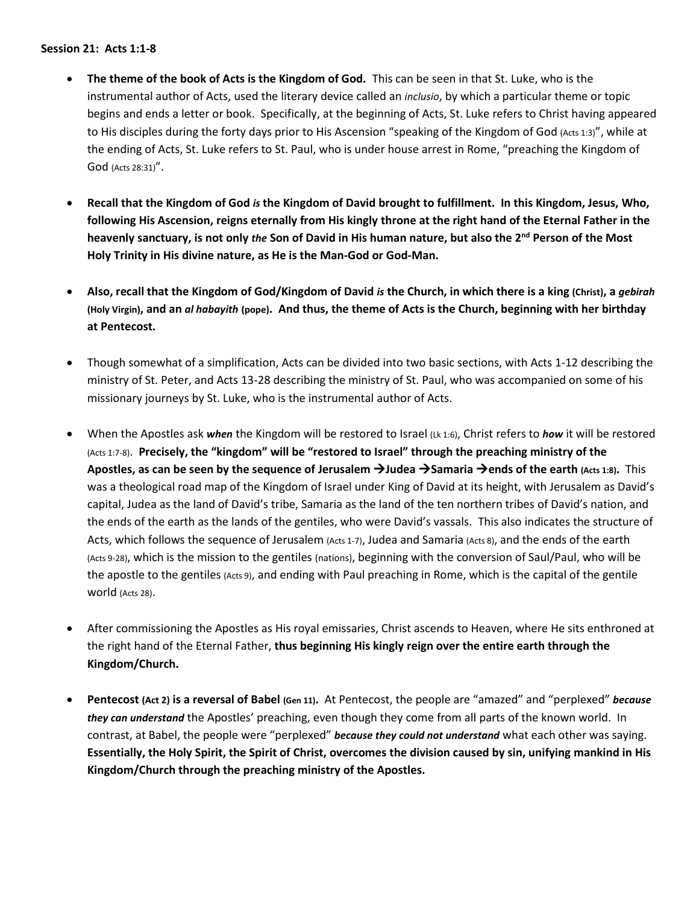## **Session 21: Acts 1:1-8**

- **The theme of the book of Acts is the Kingdom of God.** This can be seen in that St. Luke, who is the instrumental author of Acts, used the literary device called an *inclusio*, by which a particular theme or topic begins and ends a letter or book. Specifically, at the beginning of Acts, St. Luke refers to Christ having appeared to His disciples during the forty days prior to His Ascension "speaking of the Kingdom of God (Acts 1:3)", while at the ending of Acts, St. Luke refers to St. Paul, who is under house arrest in Rome, "preaching the Kingdom of God (Acts 28:31)".
- **Recall that the Kingdom of God** *is* **the Kingdom of David brought to fulfillment. In this Kingdom, Jesus, Who, following His Ascension, reigns eternally from His kingly throne at the right hand of the Eternal Father in the heavenly sanctuary, is not only** *the* **Son of David in His human nature, but also the 2nd Person of the Most Holy Trinity in His divine nature, as He is the Man-God or God-Man.**
- **Also, recall that the Kingdom of God/Kingdom of David** *is* **the Church, in which there is a king (Christ), a** *gebirah* **(Holy Virgin), and an** *al habayith* **(pope). And thus, the theme of Acts is the Church, beginning with her birthday at Pentecost.**
- Though somewhat of a simplification, Acts can be divided into two basic sections, with Acts 1-12 describing the ministry of St. Peter, and Acts 13-28 describing the ministry of St. Paul, who was accompanied on some of his missionary journeys by St. Luke, who is the instrumental author of Acts.
- When the Apostles ask *when* the Kingdom will be restored to Israel (Lk 1:6), Christ refers to *how* it will be restored (Acts 1:7-8). **Precisely, the "kingdom" will be "restored to Israel" through the preaching ministry of the Apostles, as can be seen by the sequence of Jerusalem** →**Judea** →**Samaria** →**ends of the earth (Acts 1:8).** This was a theological road map of the Kingdom of Israel under King of David at its height, with Jerusalem as David's capital, Judea as the land of David's tribe, Samaria as the land of the ten northern tribes of David's nation, and the ends of the earth as the lands of the gentiles, who were David's vassals. This also indicates the structure of Acts, which follows the sequence of Jerusalem (Acts 1-7), Judea and Samaria (Acts 8), and the ends of the earth (Acts 9-28), which is the mission to the gentiles (nations), beginning with the conversion of Saul/Paul, who will be the apostle to the gentiles (Acts 9), and ending with Paul preaching in Rome, which is the capital of the gentile world (Acts 28).
- After commissioning the Apostles as His royal emissaries, Christ ascends to Heaven, where He sits enthroned at the right hand of the Eternal Father, **thus beginning His kingly reign over the entire earth through the Kingdom/Church.**
- **Pentecost (Act 2) is a reversal of Babel (Gen 11).** At Pentecost, the people are "amazed" and "perplexed" *because they can understand* the Apostles' preaching, even though they come from all parts of the known world. In contrast, at Babel, the people were "perplexed" *because they could not understand* what each other was saying. **Essentially, the Holy Spirit, the Spirit of Christ, overcomes the division caused by sin, unifying mankind in His Kingdom/Church through the preaching ministry of the Apostles.**